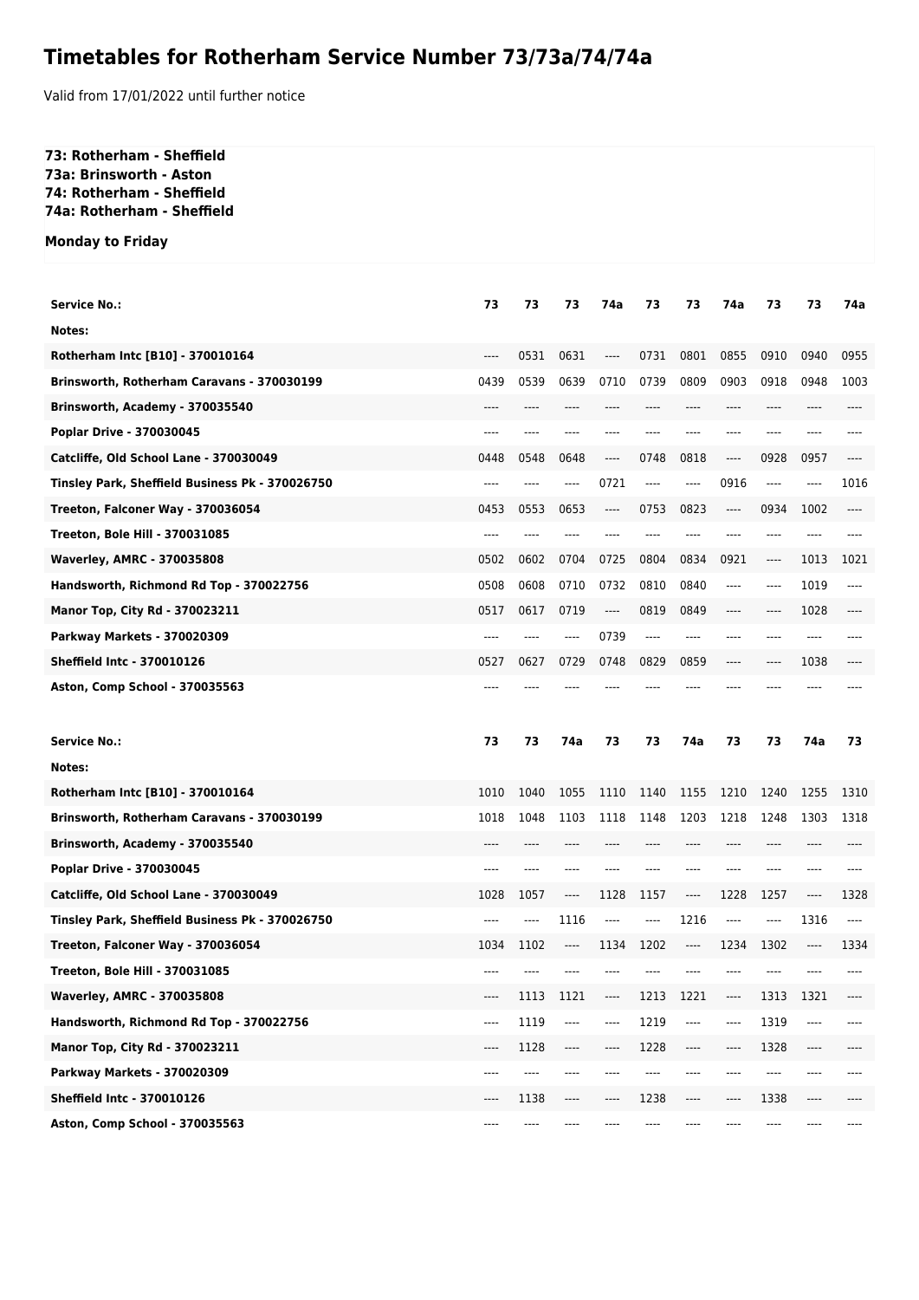## **Timetables for Rotherham Service Number 73/73a/74/74a**

Valid from 17/01/2022 until further notice

## **73: Rotherham - Sheffield 73a: Brinsworth - Aston 74: Rotherham - Sheffield 74a: Rotherham - Sheffield**

**Monday to Friday**

| <b>Service No.:</b>                                                | 73           | 73           | 73      | 74a                           | 73      | 73           | 74a                           | 73            | 73           | 74a  |
|--------------------------------------------------------------------|--------------|--------------|---------|-------------------------------|---------|--------------|-------------------------------|---------------|--------------|------|
| Notes:                                                             |              |              |         |                               |         |              |                               |               |              |      |
| Rotherham Intc [B10] - 370010164                                   | ----         | 0531         | 0631    | ----                          | 0731    | 0801         | 0855                          | 0910          | 0940         | 0955 |
| Brinsworth, Rotherham Caravans - 370030199                         | 0439         | 0539         | 0639    | 0710                          | 0739    | 0809         | 0903                          | 0918          | 0948         | 1003 |
| Brinsworth, Academy - 370035540                                    | ----         |              |         |                               |         |              | ----                          |               |              |      |
| Poplar Drive - 370030045                                           |              |              |         |                               |         |              |                               |               |              |      |
| Catcliffe, Old School Lane - 370030049                             | 0448         | 0548         | 0648    | ----                          | 0748    | 0818         | ----                          | 0928          | 0957         | ---- |
| Tinsley Park, Sheffield Business Pk - 370026750                    | ----         |              | ----    | 0721                          | $-----$ | ----         | 0916                          | $-----$       | ----         | 1016 |
| Treeton, Falconer Way - 370036054                                  | 0453         | 0553         | 0653    | ----                          | 0753    | 0823         | $-----$                       | 0934          | 1002         | ---- |
| <b>Treeton, Bole Hill - 370031085</b>                              | ----         |              |         |                               |         |              | ----                          | ----          |              |      |
| <b>Waverley, AMRC - 370035808</b>                                  | 0502         | 0602         | 0704    | 0725                          | 0804    | 0834         | 0921                          | ----          | 1013         | 1021 |
| Handsworth, Richmond Rd Top - 370022756                            | 0508         | 0608         | 0710    | 0732                          | 0810    | 0840         | $-----$                       | ----          | 1019         | ---- |
| Manor Top, City Rd - 370023211                                     | 0517         | 0617         | 0719    | ----                          | 0819    | 0849         | ----                          | ----          | 1028         | ---- |
| <b>Parkway Markets - 370020309</b>                                 | ----         | ----         | ----    | 0739                          | $---$   |              | ----                          | ----          | ----         |      |
| <b>Sheffield Intc - 370010126</b>                                  | 0527         | 0627         | 0729    | 0748                          | 0829    | 0859         | ----                          | ----          | 1038         |      |
| Aston, Comp School - 370035563                                     |              |              |         |                               |         |              |                               |               | ----         |      |
|                                                                    |              |              |         |                               |         |              |                               |               |              |      |
|                                                                    |              |              |         |                               |         |              |                               |               |              |      |
| <b>Service No.:</b>                                                | 73           | 73           | 74a     | 73                            | 73      | 74a          | 73                            | 73            | 74a          | 73   |
| Notes:                                                             |              |              |         |                               |         |              |                               |               |              |      |
| Rotherham Intc [B10] - 370010164                                   | 1010         | 1040         | 1055    | 1110                          | 1140    | 1155         | 1210                          | 1240          | 1255         | 1310 |
| Brinsworth, Rotherham Caravans - 370030199                         | 1018<br>---- | 1048<br>---- | 1103    | 1118                          | 1148    | 1203<br>---- | 1218<br>$---$                 | 1248<br>$---$ | 1303<br>---- | 1318 |
| Brinsworth, Academy - 370035540                                    | $---$        | $---$        | ----    | ----                          |         | ----         | $---$                         | ----          | ----         |      |
| Poplar Drive - 370030045<br>Catcliffe, Old School Lane - 370030049 | 1028         | 1057         | ----    | 1128                          | 1157    | $---$        | 1228                          | 1257          | $---$        | 1328 |
| Tinsley Park, Sheffield Business Pk - 370026750                    | ----         | ----         | 1116    | ----                          | $---$   | 1216         | $---$                         | ----          | 1316         | ---- |
| Treeton, Falconer Way - 370036054                                  | 1034         | 1102         | ----    | 1134                          | 1202    | ----         | 1234                          | 1302          | $---$        | 1334 |
| Treeton, Bole Hill - 370031085                                     | ----         |              | ----    | ----                          |         | ----         | ----                          | $---$         | ----         | ---- |
| <b>Waverley, AMRC - 370035808</b>                                  | $-----$      | 1113         | 1121    | ----                          | 1213    | 1221         | ----                          | 1313          | 1321         | ---- |
| Handsworth, Richmond Rd Top - 370022756                            | $---$        | 1119         | ----    | ----                          | 1219    | ----         | ----                          | 1319          | ----         | ---- |
| Manor Top, City Rd - 370023211                                     | $---$        | 1128         | ----    | $\hspace{1.5cm} \textbf{---}$ | 1228    | ----         | ----                          | 1328          | ----         | ---- |
| Parkway Markets - 370020309                                        | $---$        | ----         | ----    | ----                          | $---$   | ----         | ----                          | ----          | ----         | ---- |
| <b>Sheffield Intc - 370010126</b>                                  | ----         | 1138         | $-----$ | ----                          | 1238    | ----         | $\hspace{1.5cm} \textbf{---}$ | 1338          | $---$        | ---- |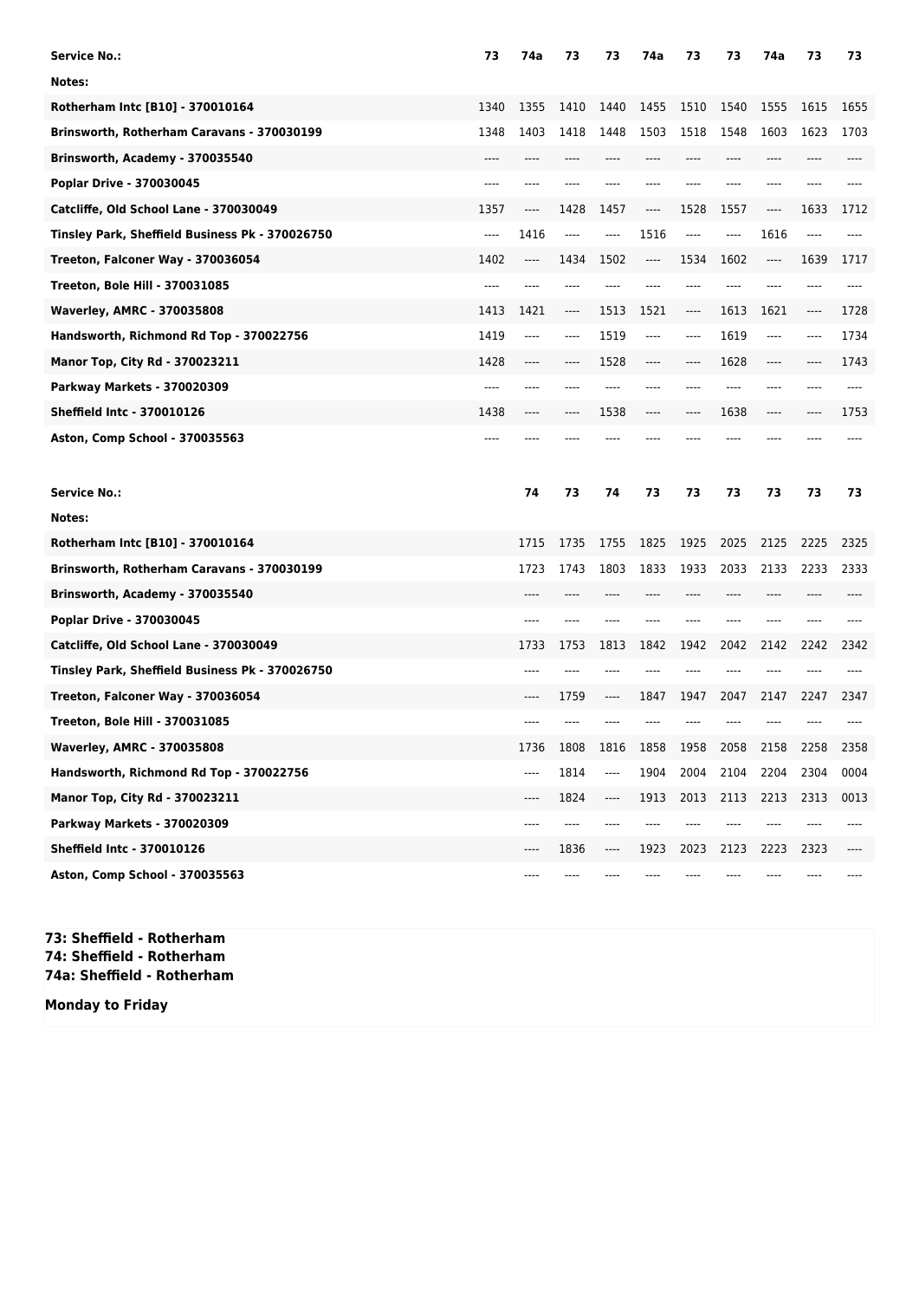| <b>Service No.:</b>                             | 73   | 74a  | 73       | 73   | 74a  | 73      | 73   | 74a  | 73   | 73   |
|-------------------------------------------------|------|------|----------|------|------|---------|------|------|------|------|
| Notes:                                          |      |      |          |      |      |         |      |      |      |      |
| Rotherham Intc [B10] - 370010164                | 1340 | 1355 | 1410     | 1440 | 1455 | 1510    | 1540 | 1555 | 1615 | 1655 |
| Brinsworth, Rotherham Caravans - 370030199      | 1348 | 1403 | 1418     | 1448 | 1503 | 1518    | 1548 | 1603 | 1623 | 1703 |
| Brinsworth, Academy - 370035540                 | ---- | ---- |          | ---- |      | ----    | ---- | ---- |      |      |
| Poplar Drive - 370030045                        | ---- |      |          |      |      |         |      | ---- |      |      |
| Catcliffe, Old School Lane - 370030049          | 1357 | ---- | 1428     | 1457 | ---- | 1528    | 1557 | ---- | 1633 | 1712 |
| Tinsley Park, Sheffield Business Pk - 370026750 | ---- | 1416 | $---$    | ---- | 1516 | $-----$ | ---- | 1616 | ---- |      |
| Treeton, Falconer Way - 370036054               | 1402 | ---- | 1434     | 1502 | ---- | 1534    | 1602 | ---- | 1639 | 1717 |
| Treeton, Bole Hill - 370031085                  | ---- | ---- |          |      |      |         |      |      |      |      |
| <b>Waverley, AMRC - 370035808</b>               | 1413 | 1421 | $\cdots$ | 1513 | 1521 | ----    | 1613 | 1621 | ---- | 1728 |
| Handsworth, Richmond Rd Top - 370022756         | 1419 | ---- | $---$    | 1519 | ---- | ----    | 1619 | ---- | ---- | 1734 |
| Manor Top, City Rd - 370023211                  | 1428 | ---- | ----     | 1528 | ---- | $---$   | 1628 | ---- |      | 1743 |
| <b>Parkway Markets - 370020309</b>              | ---- | ---- |          |      |      | $---$   |      | ---- |      |      |
| <b>Sheffield Intc - 370010126</b>               | 1438 | ---- |          | 1538 |      |         | 1638 | ---- |      | 1753 |
| Aston, Comp School - 370035563                  |      |      |          |      |      |         |      |      |      |      |
|                                                 |      |      |          |      |      |         |      |      |      |      |
| <b>Service No.:</b>                             |      | 74   | 73       | 74   | 73   | 73      | 73   | 73   | 73   | 73   |
| Notes:                                          |      |      |          |      |      |         |      |      |      |      |
| Rotherham Intc [B10] - 370010164                |      | 1715 | 1735     | 1755 | 1825 | 1925    | 2025 | 2125 | 2225 | 2325 |
| Brinsworth, Rotherham Caravans - 370030199      |      | 1723 | 1743     | 1803 | 1833 | 1933    | 2033 | 2133 | 2233 | 2333 |
| Brinsworth, Academy - 370035540                 |      | ---- |          |      |      | ----    | ---- | ---- |      |      |
| Poplar Drive - 370030045                        |      |      |          |      |      |         |      |      |      |      |
| Catcliffe, Old School Lane - 370030049          |      | 1733 | 1753     | 1813 | 1842 | 1942    | 2042 | 2142 | 2242 | 2342 |
| Tinsley Park, Sheffield Business Pk - 370026750 |      | ---- |          |      |      |         |      |      |      |      |
| Treeton, Falconer Way - 370036054               |      | ---- | 1759     | ---- | 1847 | 1947    | 2047 | 2147 | 2247 | 2347 |
| Treeton, Bole Hill - 370031085                  |      |      |          |      |      |         |      |      |      |      |
| <b>Waverley, AMRC - 370035808</b>               |      | 1736 | 1808     | 1816 | 1858 | 1958    | 2058 | 2158 | 2258 | 2358 |
| Handsworth, Richmond Rd Top - 370022756         |      | ---- | 1814     | ---- | 1904 | 2004    | 2104 | 2204 | 2304 | 0004 |
| Manor Top, City Rd - 370023211                  |      | ---- | 1824     | ---- | 1913 | 2013    | 2113 | 2213 | 2313 | 0013 |
| <b>Parkway Markets - 370020309</b>              |      | ---- | ----     |      |      |         |      |      |      |      |
| <b>Sheffield Intc - 370010126</b>               |      | ---- | 1836     | ---- | 1923 | 2023    | 2123 | 2223 | 2323 |      |

**73: Sheffield - Rotherham 74: Sheffield - Rotherham 74a: Sheffield - Rotherham**

**Monday to Friday**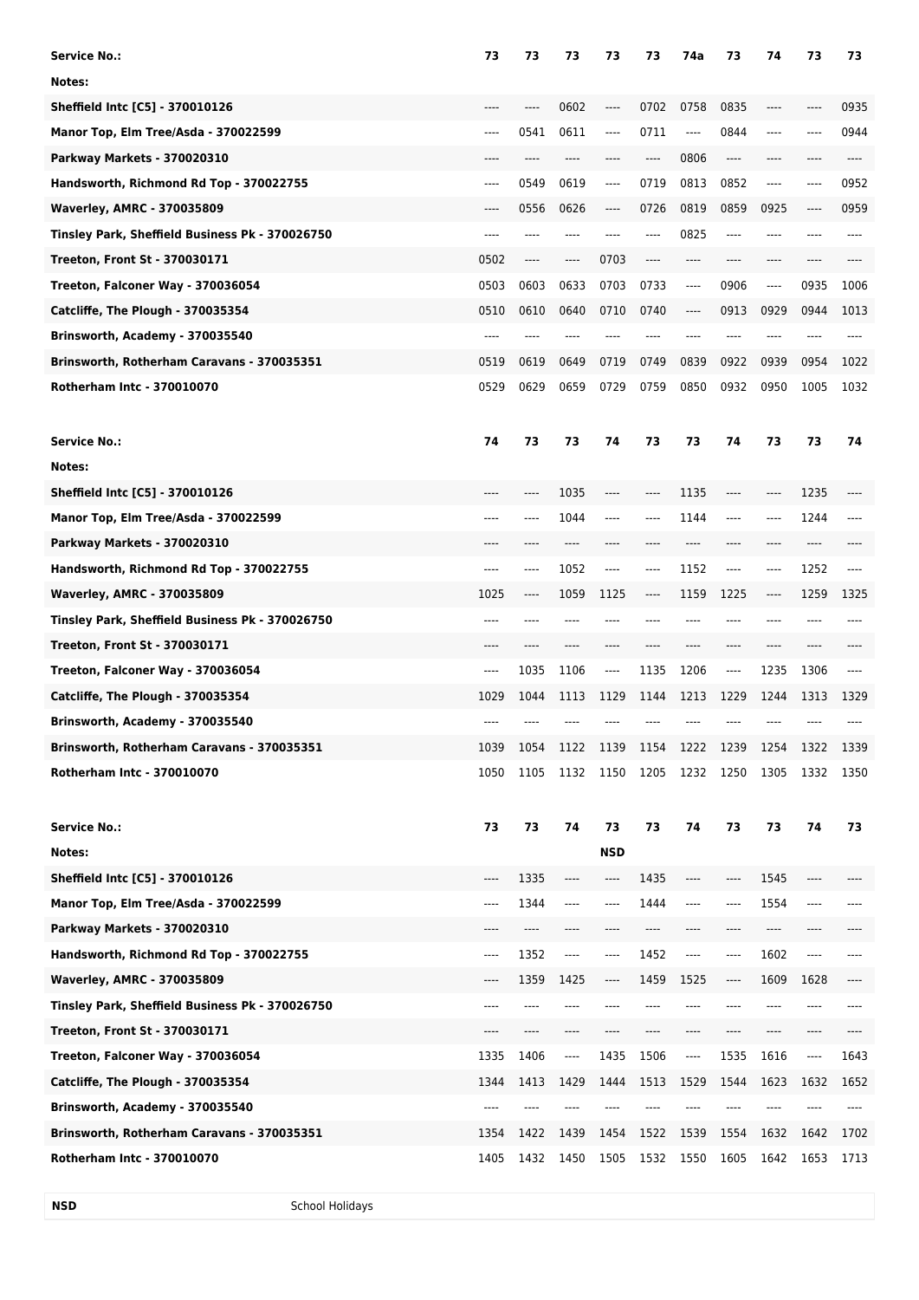| <b>Service No.:</b>                             | 73    | 73   | 73       | 73         | 73        | 74a     | 73       | 74      | 73             | 73   |
|-------------------------------------------------|-------|------|----------|------------|-----------|---------|----------|---------|----------------|------|
| Notes:                                          |       |      |          |            |           |         |          |         |                |      |
| Sheffield Intc [C5] - 370010126                 |       |      | 0602     | ----       | 0702      | 0758    | 0835     | ----    |                | 0935 |
| Manor Top, Elm Tree/Asda - 370022599            | ----  | 0541 | 0611     | ----       | 0711      | ----    | 0844     | ----    | ----           | 0944 |
| <b>Parkway Markets - 370020310</b>              | $---$ | ---- | ----     | ----       | $-----$   | 0806    | $\cdots$ | ----    | ----           | ---- |
| Handsworth, Richmond Rd Top - 370022755         | ----  | 0549 | 0619     | ----       | 0719      | 0813    | 0852     | $-----$ | ----           | 0952 |
| <b>Waverley, AMRC - 370035809</b>               | ----  | 0556 | 0626     | ----       | 0726      | 0819    | 0859     | 0925    | ----           | 0959 |
| Tinsley Park, Sheffield Business Pk - 370026750 | ----  | ---- |          |            | ----      | 0825    | $-----$  | ----    | ----           |      |
| Treeton, Front St - 370030171                   | 0502  | ---- | ----     | 0703       | ----      | ----    | ----     | ----    | ----           |      |
| Treeton, Falconer Way - 370036054               | 0503  | 0603 | 0633     | 0703       | 0733      | ----    | 0906     | $-----$ | 0935           | 1006 |
| Catcliffe, The Plough - 370035354               | 0510  | 0610 | 0640     | 0710       | 0740      | ----    | 0913     | 0929    | 0944           | 1013 |
| Brinsworth, Academy - 370035540                 | ----  | ---- |          |            |           | ----    | ----     | ----    |                |      |
| Brinsworth, Rotherham Caravans - 370035351      | 0519  | 0619 | 0649     | 0719       | 0749      | 0839    | 0922     | 0939    | 0954           | 1022 |
| Rotherham Intc - 370010070                      | 0529  | 0629 | 0659     | 0729       | 0759      | 0850    | 0932     | 0950    | 1005           | 1032 |
|                                                 |       |      |          |            |           |         |          |         |                |      |
| <b>Service No.:</b>                             | 74    | 73   | 73       | 74         | 73        | 73      | 74       | 73      | 73             | 74   |
| Notes:                                          |       |      |          |            |           |         |          |         |                |      |
| Sheffield Intc [C5] - 370010126                 | ----  | ---- | 1035     | ----       | ----      | 1135    | ----     | ----    | 1235           |      |
| Manor Top, Elm Tree/Asda - 370022599            | ----  | ---- | 1044     | ----       | ----      | 1144    | ----     | ----    | 1244           |      |
| Parkway Markets - 370020310                     | ----  |      | ----     | ----       |           |         | ----     | ----    | ----           |      |
| Handsworth, Richmond Rd Top - 370022755         | ----  | ---- | 1052     | ----       | ----      | 1152    | ----     | ----    | 1252           | ---- |
| <b>Waverley, AMRC - 370035809</b>               | 1025  | ---- | 1059     | 1125       | ----      | 1159    | 1225     | ----    | 1259           | 1325 |
| Tinsley Park, Sheffield Business Pk - 370026750 | ----  | ---- |          |            |           |         | ----     | ----    |                |      |
| <b>Treeton, Front St - 370030171</b>            |       | ---- |          |            |           |         | ----     | ----    |                |      |
| Treeton, Falconer Way - 370036054               | ----  | 1035 | 1106     | ----       | 1135      | 1206    | ----     | 1235    | 1306           |      |
| Catcliffe, The Plough - 370035354               | 1029  | 1044 | 1113     | 1129       | 1144      | 1213    | 1229     | 1244    | 1313           | 1329 |
| Brinsworth, Academy - 370035540                 |       |      |          |            |           |         |          |         |                |      |
| Brinsworth, Rotherham Caravans - 370035351      | 1039  | 1054 | 1122     | 1139       | 1154      | 1222    | 1239     | 1254    | 1322           | 1339 |
| <b>Rotherham Intc - 370010070</b>               | 1050  | 1105 | 1132     | 1150       | 1205      | 1232    | 1250     | 1305    | 1332           | 1350 |
|                                                 |       |      |          |            |           |         |          |         |                |      |
| <b>Service No.:</b>                             | 73    | 73   | 74       | 73         | 73        | 74      | 73       | 73      | 74             | 73   |
| Notes:                                          |       |      |          | <b>NSD</b> |           |         |          |         |                |      |
| Sheffield Intc [C5] - 370010126                 | ----  | 1335 | ----     | ----       | 1435      | $-----$ | $-----$  | 1545    | ----           |      |
| Manor Top, Elm Tree/Asda - 370022599            | ----  | 1344 | ----     | ----       | 1444      | $-----$ | ----     | 1554    | ----           |      |
| Parkway Markets - 370020310                     | ----  | ---- |          |            |           |         | ----     | ----    |                |      |
| Handsworth, Richmond Rd Top - 370022755         | ----  | 1352 | $\cdots$ | ----       | 1452      | $---$   | ----     | 1602    | ----           |      |
| Waverley, AMRC - 370035809                      | ----  | 1359 | 1425     | ----       | 1459      | 1525    | ----     | 1609    | 1628           | ---- |
| Tinsley Park, Sheffield Business Pk - 370026750 | ----  |      |          |            |           |         |          |         |                |      |
| <b>Treeton, Front St - 370030171</b>            | ----  |      |          |            |           |         |          |         | ----           |      |
| Treeton, Falconer Way - 370036054               | 1335  | 1406 | ----     | 1435       | 1506      | ----    | 1535     | 1616    | ----           | 1643 |
| Catcliffe, The Plough - 370035354               | 1344  | 1413 | 1429     | 1444       | 1513      | 1529    | 1544     | 1623    | 1632           | 1652 |
| Brinsworth, Academy - 370035540                 | ----  | ---- |          |            |           |         |          |         |                |      |
| Brinsworth, Rotherham Caravans - 370035351      | 1354  | 1422 | 1439     | 1454       | 1522      | 1539    | 1554     | 1632    | 1642           | 1702 |
| Rotherham Intc - 370010070                      | 1405  | 1432 | 1450     | 1505       | 1532 1550 |         | 1605     |         | 1642 1653 1713 |      |

**NSD** School Holidays